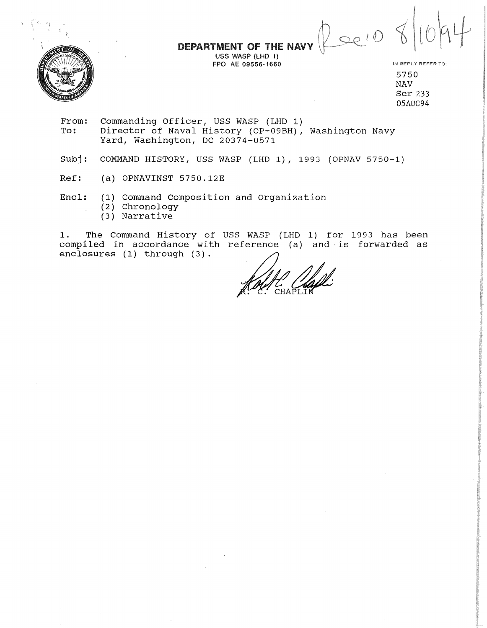DEPARTMENT OF THE NAV

USS WASP (LHD 1) FPO AE 09556-1660 IN REPLY REFER TO:



5750 NAV Ser 233 05AUG94

Leev

- From: Commanding Officer, USS WASP (LHD 1)<br>To: Director of Naval History (OP-09BH), Director of Naval History (OP-09BH), Washington Navy Yard, Washington, DC 20374-0571
- Subj: COMMAND HISTORY, USS WASP (LHD 1), 1993 (OPNAV 5750-1)
- Ref: (a) OPNAVINST 5750.12E

Encl: (1) Command Composition and Organization (2) Chronology

(3) Narrative

1. The Command History of USS WASP (LHD 1) for 1993 has been compiled in accordance with reference (a) and is forwarded as enclosures (1) through (3).

Kalifa Chapli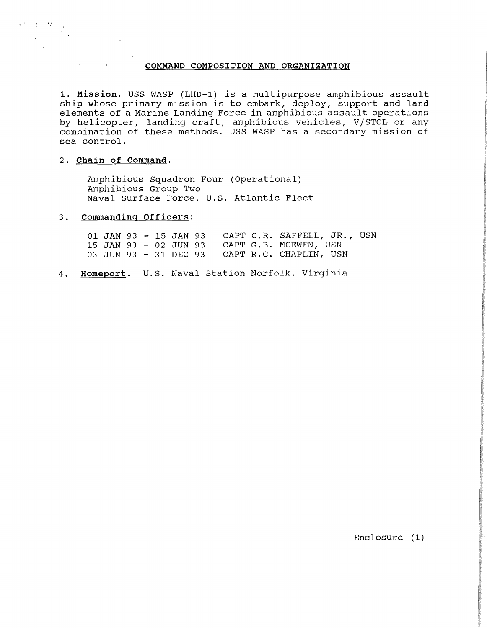### **COMMAND COMPOSITION AND ORGANIZATION**

1. **Mission.** USS WASP (LHD-1) is a multipurpose amphibious assault ship whose primary mission is to embark, deploy, support and land elements of a Marine Landing Force in amphibious assault operations by helicopter, landing craft, amphibious vehicles, V/STOL or any combination of these methods. USS WASP has a secondary mission of sea control.

#### 2. **Chain of command.**

 $\sim$   $\mathcal{E}$   $\sim$   $^{72}$ 

Amphibious Squadron Four (Operational) Amphibious Group Two Naval Surface Force, U.S. Atlantic Fleet

# 3. **commanding Officers:**

 $\bar{z}$ 

|  |  |  | 01 JAN 93 - 15 JAN 93 CAPT C.R. SAFFELL, JR., USN |  |
|--|--|--|---------------------------------------------------|--|
|  |  |  | 15 JAN 93 - 02 JUN 93 CAPT G.B. MCEWEN, USN       |  |
|  |  |  | 03 JUN 93 - 31 DEC 93 CAPT R.C. CHAPLIN, USN      |  |

4. Homeport. U.S. Naval Station Norfolk, Virginia

Enclosure (1)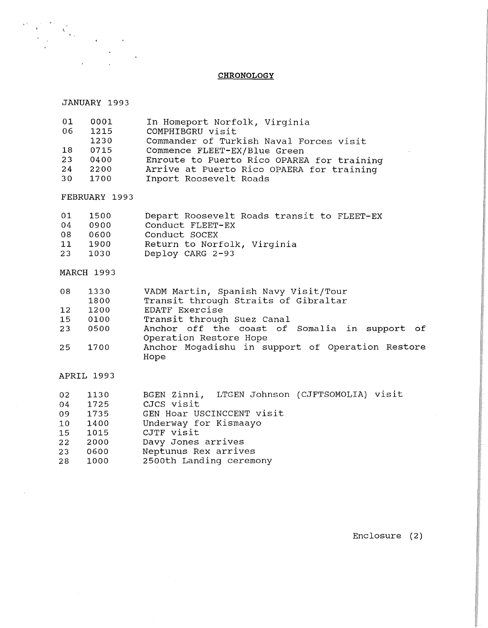#### **CHRONOLOGY**

### JANUARY 1993

 $\label{eq:2.1} \frac{1}{\sqrt{2}}\sum_{i=1}^n\frac{1}{\sqrt{2}}\sum_{i=1}^n\frac{1}{\sqrt{2}}\sum_{i=1}^n\frac{1}{\sqrt{2}}\sum_{i=1}^n\frac{1}{\sqrt{2}}\sum_{i=1}^n\frac{1}{\sqrt{2}}\sum_{i=1}^n\frac{1}{\sqrt{2}}\sum_{i=1}^n\frac{1}{\sqrt{2}}\sum_{i=1}^n\frac{1}{\sqrt{2}}\sum_{i=1}^n\frac{1}{\sqrt{2}}\sum_{i=1}^n\frac{1}{\sqrt{2}}\sum_{i=1}^n\frac$ 

 $\begin{split} \mathbf{S}^{(k)} &= \begin{bmatrix} \mathbf{S}^{(k)} & \mathbf{S}^{(k)} \\ \mathbf{S}^{(k)} & \mathbf{S}^{(k)} \end{bmatrix} \mathbf{S}^{(k)} \\ & \mathbf{S}^{(k)} & \mathbf{S}^{(k)} \end{split} \quad \begin{split} \mathbf{S}^{(k)} &= \begin{bmatrix} \mathbf{S}^{(k)} & \mathbf{S}^{(k)} \\ \mathbf{S}^{(k)} & \mathbf{S}^{(k)} \end{bmatrix} \mathbf{S}^{(k)} \\ & \mathbf{S}^{(k)} & \mathbf{S}^{(k)} \end{split}$ 

| 01 | 0001 | In Homeport Norfolk, Virginia              |
|----|------|--------------------------------------------|
| 06 | 1215 | COMPHIBGRU visit                           |
|    | 1230 | Commander of Turkish Naval Forces visit    |
| 18 | 0715 | Commence FLEET-EX/Blue Green               |
| 23 | 0400 | Enroute to Puerto Rico OPAREA for training |
| 24 | 2200 | Arrive at Puerto Rico OPAERA for training  |
| 30 | 1700 | Inport Roosevelt Roads                     |

FEBRUARY 1993

| 01 | 1500   | Depart Roosevelt Roads transit to FLEET-EX |
|----|--------|--------------------------------------------|
| 04 | 0900   | Conduct FLEET-EX                           |
| 08 | 0600   | Conduct SOCEX                              |
| 11 | 1900   | Return to Norfolk, Virginia                |
| 23 | - 1030 | Deploy CARG 2-93                           |

## MARCH 1993

| 08 | 1330<br>1800 | VADM Martin, Spanish Navy Visit/Tour<br>Transit through Straits of Gibraltar |
|----|--------------|------------------------------------------------------------------------------|
| 12 | 1200         | EDATF Exercise                                                               |
| 15 | 0100         | Transit through Suez Canal                                                   |
| 23 | 0500         | Anchor off the coast of Somalia in support of                                |
|    |              | Operation Restore Hope                                                       |
| 25 | 1700         | Anchor Mogadishu in support of Operation Restore                             |
|    |              | Hope                                                                         |

## APRIL 1993

| 02 | 1130 | BGEN Zinni, LTGEN Johnson (CJFTSOMOLIA) visit |
|----|------|-----------------------------------------------|
| 04 | 1725 | CJCS visit                                    |
| 09 | 1735 | GEN Hoar USCINCCENT visit                     |
| 10 | 1400 | Underway for Kismaayo                         |
| 15 | 1015 | CJTF visit                                    |
| 22 | 2000 | Davy Jones arrives                            |
| 23 | 0600 | Neptunus Rex arrives                          |
| 28 | 1000 | 2500th Landing ceremony                       |
|    |      |                                               |

Enclosure (2)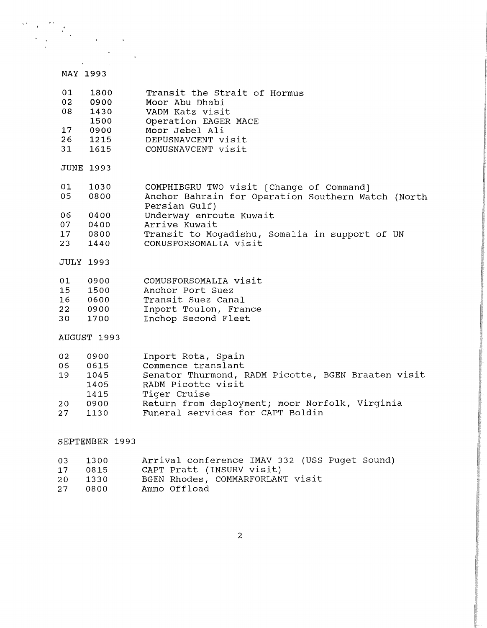# MAY 1993

| 01<br>02<br>08             | 1800<br>0900<br>1430<br>1500                 | Transit the Strait of Hormus<br>Moor Abu Dhabi<br>VADM Katz visit<br>Operation EAGER MACE                                                                                              |
|----------------------------|----------------------------------------------|----------------------------------------------------------------------------------------------------------------------------------------------------------------------------------------|
| 17<br>26<br>31             | 0900<br>1215<br>1615                         | Moor Jebel Ali<br>DEPUSNAVCENT visit<br>COMUSNAVCENT visit                                                                                                                             |
|                            | <b>JUNE 1993</b>                             |                                                                                                                                                                                        |
| 01<br>05                   | 1030<br>0800                                 | COMPHIBGRU TWO visit [Change of Command]<br>Anchor Bahrain for Operation Southern Watch (North<br>Persian Gulf)                                                                        |
| 06<br>07<br>17             | 0400<br>0400<br>0800                         | Underway enroute Kuwait<br>Arrive Kuwait<br>Transit to Mogadishu, Somalia in support of UN                                                                                             |
| 23                         | 1440                                         | COMUSFORSOMALIA visit                                                                                                                                                                  |
| <b>JULY 1993</b>           |                                              |                                                                                                                                                                                        |
| 01<br>15<br>16<br>22<br>30 | 0900<br>1500<br>0600<br>0900<br>1700         | COMUSFORSOMALIA visit<br>Anchor Port Suez<br>Transit Suez Canal<br>Inport Toulon, France<br>Inchop Second Fleet                                                                        |
|                            | AUGUST 1993                                  |                                                                                                                                                                                        |
| 02<br>06<br>19<br>20       | 0900<br>0615<br>1045<br>1405<br>1415<br>0900 | Inport Rota, Spain<br>Commence translant<br>Senator Thurmond, RADM Picotte, BGEN Braaten visit<br>RADM Picotte visit<br>Tiger Cruise<br>Return from deployment; moor Norfolk, Virginia |
| 27                         | 1130                                         | Funeral services for CAPT Boldin                                                                                                                                                       |
|                            | SEPTEMBER 1993                               |                                                                                                                                                                                        |

| $03 -$          | 1300    | Arrival conference IMAV 332 (USS Puget Sound) |
|-----------------|---------|-----------------------------------------------|
| 17 <sup>7</sup> | 0815    | CAPT Pratt (INSURV visit)                     |
|                 | 20 1330 | BGEN Rhodes, COMMARFORLANT visit              |
|                 | 27 0800 | Ammo Offload                                  |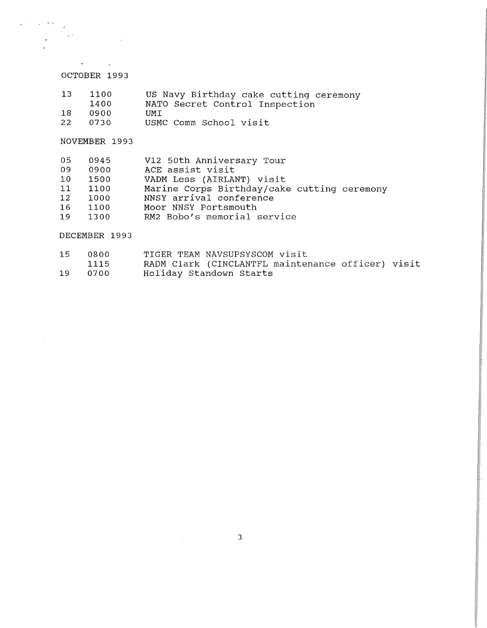# OCTOBER 1993

 $\label{eq:2} \frac{1}{\sqrt{2}}\sum_{i=1}^n\frac{1}{\sqrt{2}}\sum_{i=1}^n\frac{1}{\sqrt{2}}\sum_{i=1}^n\frac{1}{\sqrt{2}}\sum_{i=1}^n\frac{1}{\sqrt{2}}\sum_{i=1}^n\frac{1}{\sqrt{2}}\sum_{i=1}^n\frac{1}{\sqrt{2}}\sum_{i=1}^n\frac{1}{\sqrt{2}}\sum_{i=1}^n\frac{1}{\sqrt{2}}\sum_{i=1}^n\frac{1}{\sqrt{2}}\sum_{i=1}^n\frac{1}{\sqrt{2}}\sum_{i=1}^n\frac{1$ 

 $\label{eq:2.1} \frac{1}{\sqrt{2\pi}}\int_{0}^{\infty}\frac{1}{\sqrt{2\pi}}\left(\frac{1}{\sqrt{2\pi}}\right)^{2\alpha}d\mu\,d\mu\,.$ 

 $\label{eq:2.1} \begin{split} \mathcal{L}_{\text{max}} &= \mathcal{L}_{\text{max}} \left( \mathcal{L}_{\text{max}} \right) \mathcal{L}_{\text{max}} \\ &= \mathcal{L}_{\text{max}} \left( \mathcal{L}_{\text{max}} \right) \mathcal{L}_{\text{max}} \end{split}$ 

 $\bar{z}$ 

 $\sim$   $\lambda$ 

| 13 | 1100  | US Navy Birthday cake cutting ceremony |
|----|-------|----------------------------------------|
|    | 1400  | NATO Secret Control Inspection         |
| 18 | .0900 | TIMT -                                 |
| 22 | 0730  | USMC Comm School visit                 |

NOVEMBER 1993

| 05              | 0945 | V12 50th Anniversary Tour                   |
|-----------------|------|---------------------------------------------|
| 09              | 0900 | ACE assist visit                            |
| 10 <sup>°</sup> | 1500 | VADM Less (AIRLANT) visit                   |
| 11              | 1100 | Marine Corps Birthday/cake cutting ceremony |
| 12 <sup>°</sup> | 1000 | NNSY arrival conference                     |
| 16              | 1100 | Moor NNSY Portsmouth                        |
| 19              | 1300 | RM2 Bobo's memorial service                 |

DECEMBER 1993

| 15 | -0800- | TIGER TEAM NAVSUPSYSCOM visit                     |
|----|--------|---------------------------------------------------|
|    | 1115   | RADM Clark (CINCLANTFL maintenance officer) visit |
| 19 | 0700   | Holiday Standown Starts                           |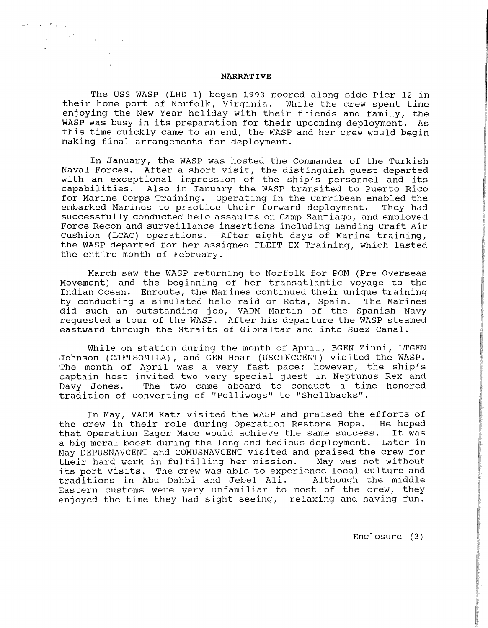### **NARRATIVE**

. ,

The USS WASP (LHD 1) began 1993 moored along side Pier 12 in<br>home port of Norfolk, Virginia. While the crew spent time their home port of Norfolk, Virginia. enjoying the New Year holiday with their friends and family, the WASP was busy in its preparation for their upcoming deployment. As this time quickly came to an end, the WASP and her crew would begin making final arrangements for deployment.

In January, the WASP was hosted the Commander of the Turkish Naval Forces. After a short visit, the distinguish guest departed with an exceptional impression of the ship's personnel and its capabilities. Also in January the WASP transited to Puerto Rico for Marine Corps Training. Operating in the Carribean enabled the embarked Marines to practice their forward deployment. They had successfully conducted helo assaults on Camp Santiago, and employed Force Recon and surveillance insertions including Landing Craft Air cushion (LCAC) operations. After eight days of Marine training, the WASP departed for her assigned FLEET-EX Training, which lasted the entire month of February.

March saw the WASP returning to Norfolk for POM (Pre Overseas Movement) and the beginning of her transatlantic voyage to the Indian Ocean. Enroute, the Marines continued their unique training by conducting a simulated helo raid on Rota, Spain. The Marines did such an outstanding job, VADM Martin of the Spanish Navy requested a tour of the WASP. After his departure the WASP steamed eastward through the Straits of Gibraltar and into Suez Canal.

While on station during the month of April, BGEN Zinni, LTGEN Johnson (CJFTSOMILA), and GEN Hoar (USCINCCENT) visited the WASP. The month of April was a very fast pace; however, the ship's captain host invited two very special guest in Neptunus Rex and Davy Jones. The two came aboard to conduct a time honored tradition of converting of "Polliwogs" to "Shellbacks".

In May, VADM Katz visited the WASP and praised the efforts of the crew in their role during Operation Restore Hope. He hoped that Operation Eager Mace would achieve the same success. It was a big moral boost during the long and tedious deployment. Later in May DEPUSNAVCENT and COMUSNAVCENT visited and praised the crew for<br>their hard work in fulfilling her mission. May was not without their hard work in fulfilling her mission. its port visits. The crew was able to experience local culture and<br>traditions in Abu Dahbi and Jebel Ali. Although the middle traditions in Abu Dahbi and Jebel Ali. Eastern customs were very unfamiliar to most of the crew, they enjoyed the time they had sight seeing, relaxing and having fun.

Enclosure (3)